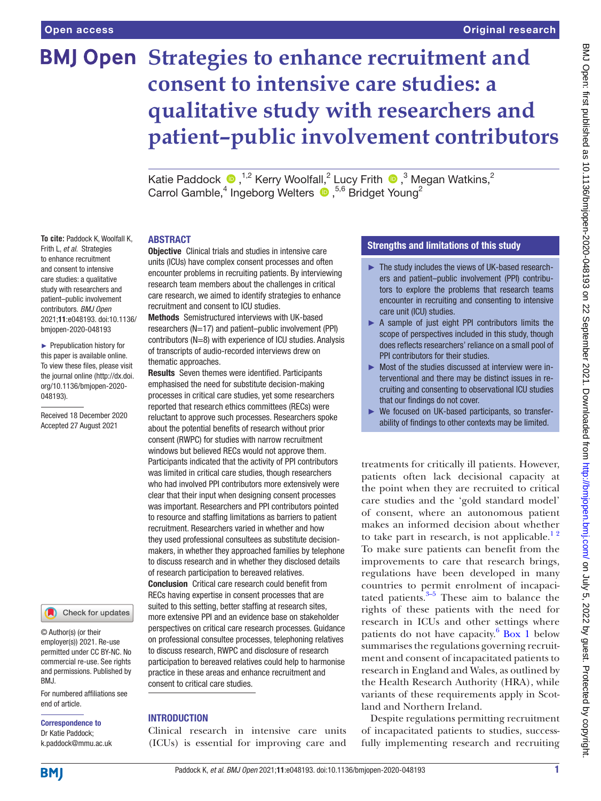**To cite:** Paddock K, Woolfall K, Frith L, *et al*. Strategies to enhance recruitment and consent to intensive care studies: a qualitative study with researchers and patient–public involvement contributors. *BMJ Open* 2021;11:e048193. doi:10.1136/ bmjopen-2020-048193 ► Prepublication history for this paper is available online. To view these files, please visit the journal online [\(http://dx.doi.](http://dx.doi.org/10.1136/bmjopen-2020-048193) [org/10.1136/bmjopen-2020-](http://dx.doi.org/10.1136/bmjopen-2020-048193)

[048193\)](http://dx.doi.org/10.1136/bmjopen-2020-048193).

Received 18 December 2020 Accepted 27 August 2021

# **BMJ Open Strategies to enhance recruitment and consent to intensive care studies: a qualitative study with researchers and patient–public involvement contributors**

KatiePaddock  $\bullet$  ,<sup>1,2</sup> Kerry Woolfall,<sup>2</sup> Lucy Frith  $\bullet$  ,<sup>3</sup> Megan Watkins,<sup>2</sup> Carrol Gamble,<sup>4</sup> Ingeborg Welters <sup>1</sup>,<sup>5,6</sup> Bridget Young<sup>2</sup>

## ABSTRACT

**Objective** Clinical trials and studies in intensive care units (ICUs) have complex consent processes and often encounter problems in recruiting patients. By interviewing research team members about the challenges in critical care research, we aimed to identify strategies to enhance recruitment and consent to ICU studies.

Methods Semistructured interviews with UK-based researchers (N=17) and patient–public involvement (PPI) contributors (N=8) with experience of ICU studies. Analysis of transcripts of audio-recorded interviews drew on thematic approaches.

Results Seven themes were identified. Participants emphasised the need for substitute decision-making processes in critical care studies, yet some researchers reported that research ethics committees (RECs) were reluctant to approve such processes. Researchers spoke about the potential benefits of research without prior consent (RWPC) for studies with narrow recruitment windows but believed RECs would not approve them. Participants indicated that the activity of PPI contributors was limited in critical care studies, though researchers who had involved PPI contributors more extensively were clear that their input when designing consent processes was important. Researchers and PPI contributors pointed to resource and staffing limitations as barriers to patient recruitment. Researchers varied in whether and how they used professional consultees as substitute decisionmakers, in whether they approached families by telephone to discuss research and in whether they disclosed details of research participation to bereaved relatives. Conclusion Critical care research could benefit from RECs having expertise in consent processes that are suited to this setting, better staffing at research sites, more extensive PPI and an evidence base on stakeholder perspectives on critical care research processes. Guidance on professional consultee processes, telephoning relatives to discuss research, RWPC and disclosure of research participation to bereaved relatives could help to harmonise practice in these areas and enhance recruitment and consent to critical care studies.

# **INTRODUCTION**

Clinical research in intensive care units (ICUs) is essential for improving care and

# Strengths and limitations of this study

- ► The study includes the views of UK-based researchers and patient–public involvement (PPI) contributors to explore the problems that research teams encounter in recruiting and consenting to intensive care unit (ICU) studies.
- ► A sample of just eight PPI contributors limits the scope of perspectives included in this study, though does reflects researchers' reliance on a small pool of PPI contributors for their studies.
- ► Most of the studies discussed at interview were interventional and there may be distinct issues in recruiting and consenting to observational ICU studies that our findings do not cover.
- ► We focused on UK-based participants, so transferability of findings to other contexts may be limited.

treatments for critically ill patients. However, patients often lack decisional capacity at the point when they are recruited to critical care studies and the 'gold standard model' of consent, where an autonomous patient makes an informed decision about whether to take part in research, is not applicable.<sup>12</sup> To make sure patients can benefit from the improvements to care that research brings, regulations have been developed in many countries to permit enrolment of incapacitated patients. $3-5$  These aim to balance the rights of these patients with the need for research in ICUs and other settings where patients do not have capacity. $6$  [Box](#page-1-0) 1 below summarises the regulations governing recruitment and consent of incapacitated patients to research in England and Wales, as outlined by the Health Research Authority (HRA), while variants of these requirements apply in Scotland and Northern Ireland.

Despite regulations permitting recruitment of incapacitated patients to studies, successfully implementing research and recruiting

**BMI** 

end of article.

BMJ.

Correspondence to Dr Katie Paddock; k.paddock@mmu.ac.uk

© Author(s) (or their employer(s)) 2021. Re-use permitted under CC BY-NC. No commercial re-use. See rights and permissions. Published by

For numbered affiliations see

Check for updates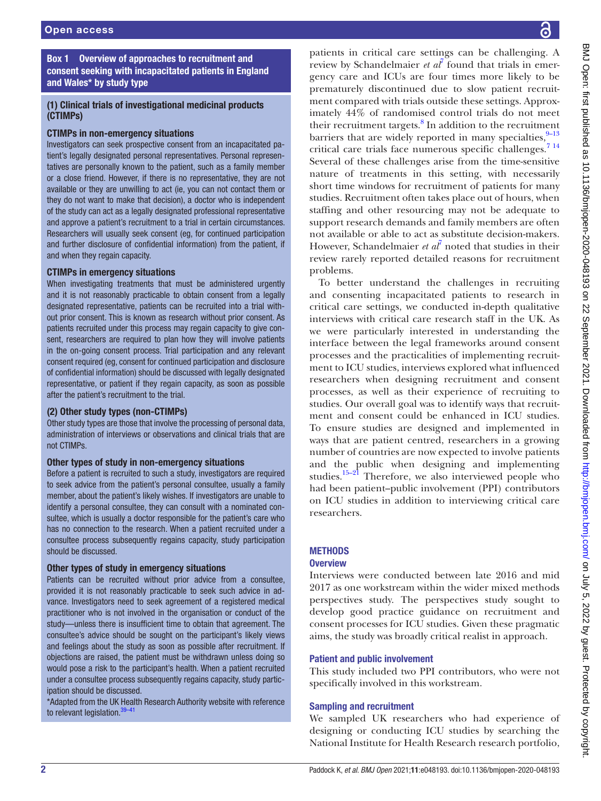Box 1 Overview of approaches to recruitment and consent seeking with incapacitated patients in England and Wales\* by study type

# <span id="page-1-0"></span>(1) Clinical trials of investigational medicinal products (CTIMPs)

## CTIMPs in non-emergency situations

Investigators can seek prospective consent from an incapacitated patient's legally designated personal representatives. Personal representatives are personally known to the patient, such as a family member or a close friend. However, if there is no representative, they are not available or they are unwilling to act (ie, you can not contact them or they do not want to make that decision), a doctor who is independent of the study can act as a legally designated professional representative and approve a patient's recruitment to a trial in certain circumstances. Researchers will usually seek consent (eg, for continued participation and further disclosure of confidential information) from the patient, if and when they regain capacity.

## CTIMPs in emergency situations

When investigating treatments that must be administered urgently and it is not reasonably practicable to obtain consent from a legally designated representative, patients can be recruited into a trial without prior consent. This is known as research without prior consent. As patients recruited under this process may regain capacity to give consent, researchers are required to plan how they will involve patients in the on-going consent process. Trial participation and any relevant consent required (eg, consent for continued participation and disclosure of confidential information) should be discussed with legally designated representative, or patient if they regain capacity, as soon as possible after the patient's recruitment to the trial.

## (2) Other study types (non-CTIMPs)

Other study types are those that involve the processing of personal data, administration of interviews or observations and clinical trials that are not CTIMPs.

## Other types of study in non-emergency situations

Before a patient is recruited to such a study, investigators are required to seek advice from the patient's personal consultee, usually a family member, about the patient's likely wishes. If investigators are unable to identify a personal consultee, they can consult with a nominated consultee, which is usually a doctor responsible for the patient's care who has no connection to the research. When a patient recruited under a consultee process subsequently regains capacity, study participation should be discussed.

## Other types of study in emergency situations

Patients can be recruited without prior advice from a consultee, provided it is not reasonably practicable to seek such advice in advance. Investigators need to seek agreement of a registered medical practitioner who is not involved in the organisation or conduct of the study—unless there is insufficient time to obtain that agreement. The consultee's advice should be sought on the participant's likely views and feelings about the study as soon as possible after recruitment. If objections are raised, the patient must be withdrawn unless doing so would pose a risk to the participant's health. When a patient recruited under a consultee process subsequently regains capacity, study participation should be discussed.

\*Adapted from the UK Health Research Authority website with reference to relevant legislation.<sup>[39–41](#page-9-1)</sup>

patients in critical care settings can be challenging. A review by Schandelmaier  $et \text{ } a\text{ } l\text{ }$  found that trials in emergency care and ICUs are four times more likely to be prematurely discontinued due to slow patient recruitment compared with trials outside these settings. Approximately 44% of randomised control trials do not meet their recruitment targets.<sup>[8](#page-8-4)</sup> In addition to the recruitment barriers that are widely reported in many specialties, $9-13$ critical care trials face numerous specific challenges.[7 14](#page-8-3) Several of these challenges arise from the time-sensitive nature of treatments in this setting, with necessarily short time windows for recruitment of patients for many studies. Recruitment often takes place out of hours, when staffing and other resourcing may not be adequate to support research demands and family members are often not available or able to act as substitute decision-makers. However, Schandelmaier *et al*<sup>[7](#page-8-3)</sup> noted that studies in their review rarely reported detailed reasons for recruitment problems.

To better understand the challenges in recruiting and consenting incapacitated patients to research in critical care settings, we conducted in-depth qualitative interviews with critical care research staff in the UK. As we were particularly interested in understanding the interface between the legal frameworks around consent processes and the practicalities of implementing recruitment to ICU studies, interviews explored what influenced researchers when designing recruitment and consent processes, as well as their experience of recruiting to studies. Our overall goal was to identify ways that recruitment and consent could be enhanced in ICU studies. To ensure studies are designed and implemented in ways that are patient centred, researchers in a growing number of countries are now expected to involve patients and the public when designing and implementing studies. $15-21$  Therefore, we also interviewed people who had been patient–public involvement (PPI) contributors on ICU studies in addition to interviewing critical care researchers.

# **METHODS**

## **Overview**

Interviews were conducted between late 2016 and mid 2017 as one workstream within the wider mixed methods perspectives study. The perspectives study sought to develop good practice guidance on recruitment and consent processes for ICU studies. Given these pragmatic aims, the study was broadly critical realist in approach.

## Patient and public involvement

This study included two PPI contributors, who were not specifically involved in this workstream.

## Sampling and recruitment

We sampled UK researchers who had experience of designing or conducting ICU studies by searching the National Institute for Health Research research portfolio,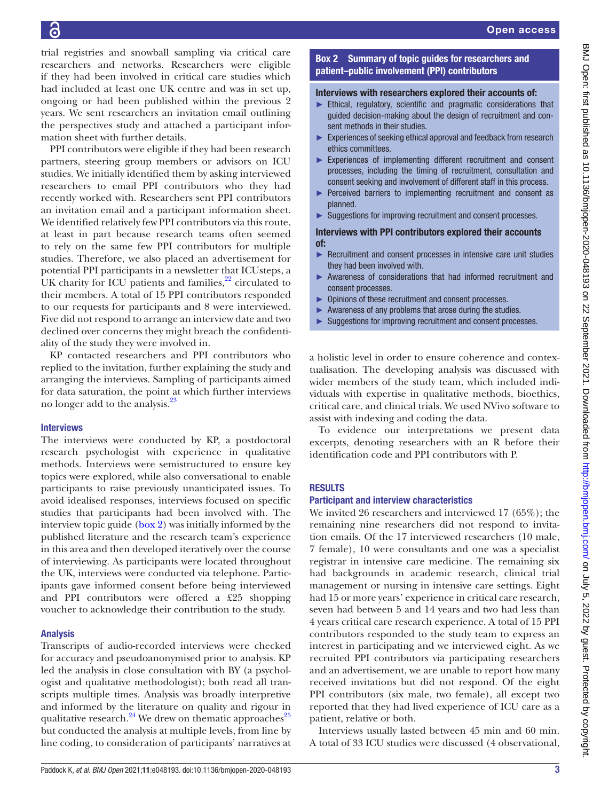trial registries and snowball sampling via critical care researchers and networks. Researchers were eligible if they had been involved in critical care studies which had included at least one UK centre and was in set up, ongoing or had been published within the previous 2 years. We sent researchers an invitation email outlining the perspectives study and attached a participant information sheet with further details.

PPI contributors were eligible if they had been research partners, steering group members or advisors on ICU studies. We initially identified them by asking interviewed researchers to email PPI contributors who they had recently worked with. Researchers sent PPI contributors an invitation email and a participant information sheet. We identified relatively few PPI contributors via this route, at least in part because research teams often seemed to rely on the same few PPI contributors for multiple studies. Therefore, we also placed an advertisement for potential PPI participants in a newsletter that ICUsteps, a UK charity for ICU patients and families, $2^2$  circulated to their members. A total of 15 PPI contributors responded to our requests for participants and 8 were interviewed. Five did not respond to arrange an interview date and two declined over concerns they might breach the confidentiality of the study they were involved in.

KP contacted researchers and PPI contributors who replied to the invitation, further explaining the study and arranging the interviews. Sampling of participants aimed for data saturation, the point at which further interviews no longer add to the analysis.<sup>23</sup>

# **Interviews**

The interviews were conducted by KP, a postdoctoral research psychologist with experience in qualitative methods. Interviews were semistructured to ensure key topics were explored, while also conversational to enable participants to raise previously unanticipated issues. To avoid idealised responses, interviews focused on specific studies that participants had been involved with. The interview topic guide ([box](#page-2-0) 2) was initially informed by the published literature and the research team's experience in this area and then developed iteratively over the course of interviewing. As participants were located throughout the UK, interviews were conducted via telephone. Participants gave informed consent before being interviewed and PPI contributors were offered a £25 shopping voucher to acknowledge their contribution to the study.

# Analysis

Transcripts of audio-recorded interviews were checked for accuracy and pseudoanonymised prior to analysis. KP led the analysis in close consultation with BY (a psychologist and qualitative methodologist); both read all transcripts multiple times. Analysis was broadly interpretive and informed by the literature on quality and rigour in qualitative research.<sup>24</sup> We drew on thematic approaches<sup>25</sup> but conducted the analysis at multiple levels, from line by line coding, to consideration of participants' narratives at

# Box 2 Summary of topic guides for researchers and patient–public involvement (PPI) contributors

# <span id="page-2-0"></span>Interviews with researchers explored their accounts of:

- ► Ethical, regulatory, scientific and pragmatic considerations that guided decision-making about the design of recruitment and consent methods in their studies.
- ► Experiences of seeking ethical approval and feedback from research ethics committees.
- ► Experiences of implementing different recruitment and consent processes, including the timing of recruitment, consultation and consent seeking and involvement of different staff in this process.
- ► Perceived barriers to implementing recruitment and consent as planned.
- ► Suggestions for improving recruitment and consent processes.

## Interviews with PPI contributors explored their accounts of:

- Recruitment and consent processes in intensive care unit studies they had been involved with.
- ► Awareness of considerations that had informed recruitment and consent processes.
- ► Opinions of these recruitment and consent processes.
- Awareness of any problems that arose during the studies.
- Suggestions for improving recruitment and consent processes.

a holistic level in order to ensure coherence and contextualisation. The developing analysis was discussed with wider members of the study team, which included individuals with expertise in qualitative methods, bioethics, critical care, and clinical trials. We used NVivo software to assist with indexing and coding the data.

To evidence our interpretations we present data excerpts, denoting researchers with an R before their identification code and PPI contributors with P.

# RESULTS

# Participant and interview characteristics

We invited 26 researchers and interviewed 17 (65%); the remaining nine researchers did not respond to invitation emails. Of the 17 interviewed researchers (10 male, 7 female), 10 were consultants and one was a specialist registrar in intensive care medicine. The remaining six had backgrounds in academic research, clinical trial management or nursing in intensive care settings. Eight had 15 or more years' experience in critical care research, seven had between 5 and 14 years and two had less than 4 years critical care research experience. A total of 15 PPI contributors responded to the study team to express an interest in participating and we interviewed eight. As we recruited PPI contributors via participating researchers and an advertisement, we are unable to report how many received invitations but did not respond. Of the eight PPI contributors (six male, two female), all except two reported that they had lived experience of ICU care as a patient, relative or both.

Interviews usually lasted between 45 min and 60 min. A total of 33 ICU studies were discussed (4 observational,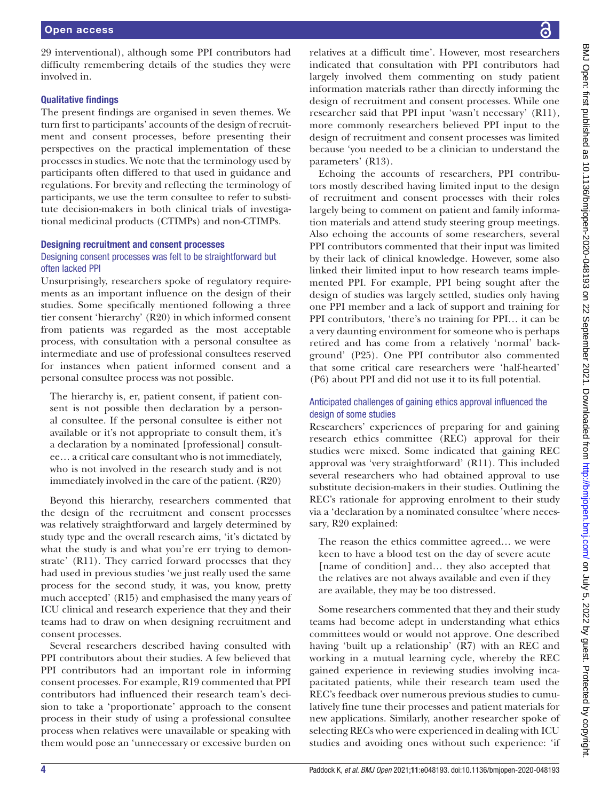## Qualitative findings

The present findings are organised in seven themes. We turn first to participants' accounts of the design of recruitment and consent processes, before presenting their perspectives on the practical implementation of these processes in studies. We note that the terminology used by participants often differed to that used in guidance and regulations. For brevity and reflecting the terminology of participants, we use the term consultee to refer to substitute decision-makers in both clinical trials of investigational medicinal products (CTIMPs) and non-CTIMPs.

## Designing recruitment and consent processes

# Designing consent processes was felt to be straightforward but often lacked PPI

Unsurprisingly, researchers spoke of regulatory requirements as an important influence on the design of their studies. Some specifically mentioned following a three tier consent 'hierarchy' (R20) in which informed consent from patients was regarded as the most acceptable process, with consultation with a personal consultee as intermediate and use of professional consultees reserved for instances when patient informed consent and a personal consultee process was not possible.

The hierarchy is, er, patient consent, if patient consent is not possible then declaration by a personal consultee. If the personal consultee is either not available or it's not appropriate to consult them, it's a declaration by a nominated [professional] consultee… a critical care consultant who is not immediately, who is not involved in the research study and is not immediately involved in the care of the patient. (R20)

Beyond this hierarchy, researchers commented that the design of the recruitment and consent processes was relatively straightforward and largely determined by study type and the overall research aims, 'it's dictated by what the study is and what you're err trying to demonstrate' (R11). They carried forward processes that they had used in previous studies 'we just really used the same process for the second study, it was, you know, pretty much accepted' (R15) and emphasised the many years of ICU clinical and research experience that they and their teams had to draw on when designing recruitment and consent processes.

Several researchers described having consulted with PPI contributors about their studies. A few believed that PPI contributors had an important role in informing consent processes. For example, R19 commented that PPI contributors had influenced their research team's decision to take a 'proportionate' approach to the consent process in their study of using a professional consultee process when relatives were unavailable or speaking with them would pose an 'unnecessary or excessive burden on

relatives at a difficult time'. However, most researchers indicated that consultation with PPI contributors had largely involved them commenting on study patient information materials rather than directly informing the design of recruitment and consent processes. While one researcher said that PPI input 'wasn't necessary' (R11), more commonly researchers believed PPI input to the design of recruitment and consent processes was limited because 'you needed to be a clinician to understand the parameters' (R13).

Echoing the accounts of researchers, PPI contributors mostly described having limited input to the design of recruitment and consent processes with their roles largely being to comment on patient and family information materials and attend study steering group meetings. Also echoing the accounts of some researchers, several PPI contributors commented that their input was limited by their lack of clinical knowledge. However, some also linked their limited input to how research teams implemented PPI. For example, PPI being sought after the design of studies was largely settled, studies only having one PPI member and a lack of support and training for PPI contributors, 'there's no training for PPI… it can be a very daunting environment for someone who is perhaps retired and has come from a relatively 'normal' background' (P25). One PPI contributor also commented that some critical care researchers were 'half-hearted' (P6) about PPI and did not use it to its full potential.

# Anticipated challenges of gaining ethics approval influenced the design of some studies

Researchers' experiences of preparing for and gaining research ethics committee (REC) approval for their studies were mixed. Some indicated that gaining REC approval was 'very straightforward' (R11). This included several researchers who had obtained approval to use substitute decision-makers in their studies. Outlining the REC's rationale for approving enrolment to their study via a 'declaration by a nominated consultee*'* where necessary*,* R20 explained:

The reason the ethics committee agreed… we were keen to have a blood test on the day of severe acute [name of condition] and… they also accepted that the relatives are not always available and even if they are available, they may be too distressed*.*

Some researchers commented that they and their study teams had become adept in understanding what ethics committees would or would not approve. One described having 'built up a relationship' (R7) with an REC and working in a mutual learning cycle, whereby the REC gained experience in reviewing studies involving incapacitated patients, while their research team used the REC's feedback over numerous previous studies to cumulatively fine tune their processes and patient materials for new applications. Similarly, another researcher spoke of selecting RECs who were experienced in dealing with ICU studies and avoiding ones without such experience: 'if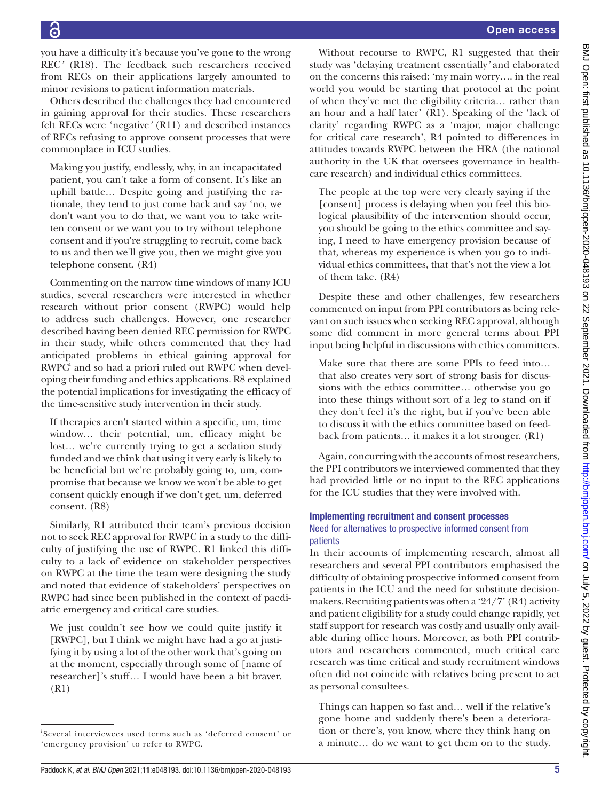Open access

you have a difficulty it's because you've gone to the wrong REC*'* (R18). The feedback such researchers received from RECs on their applications largely amounted to minor revisions to patient information materials.

Others described the challenges they had encountered in gaining approval for their studies. These researchers felt RECs were 'negative*'* (R11) and described instances of RECs refusing to approve consent processes that were commonplace in ICU studies.

Making you justify, endlessly, why, in an incapacitated patient, you can't take a form of consent. It's like an uphill battle… Despite going and justifying the rationale, they tend to just come back and say 'no, we don't want you to do that, we want you to take written consent or we want you to try without telephone consent and if you're struggling to recruit, come back to us and then we'll give you, then we might give you telephone consent. (R4)

Commenting on the narrow time windows of many ICU studies, several researchers were interested in whether research without prior consent (RWPC) would help to address such challenges. However, one researcher described having been denied REC permission for RWPC in their study, while others commented that they had anticipated problems in ethical gaining approval for RWPC<sup>i</sup> and so had a priori ruled out RWPC when developing their funding and ethics applications. R8 explained the potential implications for investigating the efficacy of the time-sensitive study intervention in their study.

If therapies aren't started within a specific, um, time window… their potential, um, efficacy might be lost… we're currently trying to get a sedation study funded and we think that using it very early is likely to be beneficial but we're probably going to, um, compromise that because we know we won't be able to get consent quickly enough if we don't get, um, deferred consent. (R8)

Similarly, R1 attributed their team's previous decision not to seek REC approval for RWPC in a study to the difficulty of justifying the use of RWPC. R1 linked this difficulty to a lack of evidence on stakeholder perspectives on RWPC at the time the team were designing the study and noted that evidence of stakeholders' perspectives on RWPC had since been published in the context of paediatric emergency and critical care studies.

We just couldn't see how we could quite justify it [RWPC], but I think we might have had a go at justifying it by using a lot of the other work that's going on at the moment, especially through some of [name of researcher]'s stuff… I would have been a bit braver. (R1)

Without recourse to RWPC, R1 suggested that their study was 'delaying treatment essentially*'* and elaborated on the concerns this raised: 'my main worry…. in the real world you would be starting that protocol at the point of when they've met the eligibility criteria… rather than an hour and a half later' (R1). Speaking of the 'lack of clarity' regarding RWPC as a 'major, major challenge for critical care research', R4 pointed to differences in attitudes towards RWPC between the HRA (the national authority in the UK that oversees governance in healthcare research) and individual ethics committees.

The people at the top were very clearly saying if the [consent] process is delaying when you feel this biological plausibility of the intervention should occur, you should be going to the ethics committee and saying, I need to have emergency provision because of that, whereas my experience is when you go to individual ethics committees, that that's not the view a lot of them take. (R4)

Despite these and other challenges, few researchers commented on input from PPI contributors as being relevant on such issues when seeking REC approval, although some did comment in more general terms about PPI input being helpful in discussions with ethics committees.

Make sure that there are some PPIs to feed into… that also creates very sort of strong basis for discussions with the ethics committee… otherwise you go into these things without sort of a leg to stand on if they don't feel it's the right, but if you've been able to discuss it with the ethics committee based on feedback from patients… it makes it a lot stronger. (R1)

Again, concurring with the accounts of most researchers, the PPI contributors we interviewed commented that they had provided little or no input to the REC applications for the ICU studies that they were involved with.

# Implementing recruitment and consent processes Need for alternatives to prospective informed consent from patients

In their accounts of implementing research, almost all researchers and several PPI contributors emphasised the difficulty of obtaining prospective informed consent from patients in the ICU and the need for substitute decisionmakers. Recruiting patients was often a '24/7' (R4) activity and patient eligibility for a study could change rapidly, yet staff support for research was costly and usually only available during office hours. Moreover, as both PPI contributors and researchers commented, much critical care research was time critical and study recruitment windows often did not coincide with relatives being present to act as personal consultees.

Things can happen so fast and… well if the relative's gone home and suddenly there's been a deterioration or there's, you know, where they think hang on a minute… do we want to get them on to the study.

i Several interviewees used terms such as 'deferred consent' or 'emergency provision' to refer to RWPC.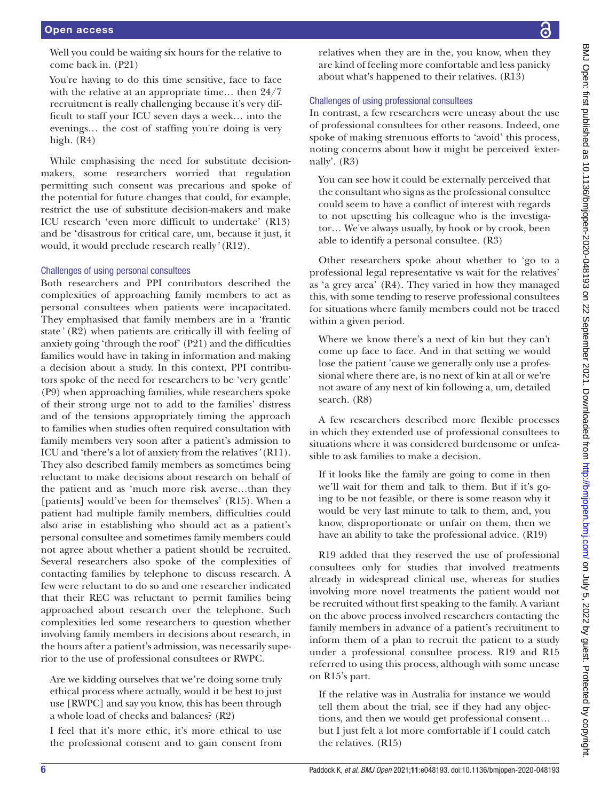You're having to do this time sensitive, face to face with the relative at an appropriate time… then 24/7 recruitment is really challenging because it's very difficult to staff your ICU seven days a week… into the evenings… the cost of staffing you're doing is very high. (R4)

While emphasising the need for substitute decisionmakers, some researchers worried that regulation permitting such consent was precarious and spoke of the potential for future changes that could, for example, restrict the use of substitute decision-makers and make ICU research 'even more difficult to undertake' (R13) and be 'disastrous for critical care, um, because it just, it would, it would preclude research really*'* (R12).

## Challenges of using personal consultees

Both researchers and PPI contributors described the complexities of approaching family members to act as personal consultees when patients were incapacitated. They emphasised that family members are in a 'frantic state*'* (R2) when patients are critically ill with feeling of anxiety going 'through the roof' (P21) and the difficulties families would have in taking in information and making a decision about a study. In this context, PPI contributors spoke of the need for researchers to be 'very gentle' (P9) when approaching families, while researchers spoke of their strong urge not to add to the families' distress and of the tensions appropriately timing the approach to families when studies often required consultation with family members very soon after a patient's admission to ICU and 'there's a lot of anxiety from the relatives*'* (R11). They also described family members as sometimes being reluctant to make decisions about research on behalf of the patient and as 'much more risk averse…than they [patients] would've been for themselves' (R15). When a patient had multiple family members, difficulties could also arise in establishing who should act as a patient's personal consultee and sometimes family members could not agree about whether a patient should be recruited. Several researchers also spoke of the complexities of contacting families by telephone to discuss research. A few were reluctant to do so and one researcher indicated that their REC was reluctant to permit families being approached about research over the telephone. Such complexities led some researchers to question whether involving family members in decisions about research, in the hours after a patient's admission, was necessarily superior to the use of professional consultees or RWPC.

Are we kidding ourselves that we're doing some truly ethical process where actually, would it be best to just use [RWPC] and say you know, this has been through a whole load of checks and balances? (R2)

I feel that it's more ethic, it's more ethical to use the professional consent and to gain consent from relatives when they are in the, you know, when they are kind of feeling more comfortable and less panicky about what's happened to their relatives. (R13)

# Challenges of using professional consultees

In contrast, a few researchers were uneasy about the use of professional consultees for other reasons. Indeed, one spoke of making strenuous efforts to 'avoid' this process, noting concerns about how it might be perceived *'*externally'. (R3)

You can see how it could be externally perceived that the consultant who signs as the professional consultee could seem to have a conflict of interest with regards to not upsetting his colleague who is the investigator… We've always usually, by hook or by crook, been able to identify a personal consultee. (R3)

Other researchers spoke about whether to 'go to a professional legal representative vs wait for the relatives' as 'a grey area' (R4). They varied in how they managed this, with some tending to reserve professional consultees for situations where family members could not be traced within a given period.

Where we know there's a next of kin but they can't come up face to face. And in that setting we would lose the patient 'cause we generally only use a professional where there are, is no next of kin at all or we're not aware of any next of kin following a, um, detailed search. (R8)

A few researchers described more flexible processes in which they extended use of professional consultees to situations where it was considered burdensome or unfeasible to ask families to make a decision.

If it looks like the family are going to come in then we'll wait for them and talk to them. But if it's going to be not feasible, or there is some reason why it would be very last minute to talk to them, and, you know, disproportionate or unfair on them, then we have an ability to take the professional advice. (R19)

R19 added that they reserved the use of professional consultees only for studies that involved treatments already in widespread clinical use, whereas for studies involving more novel treatments the patient would not be recruited without first speaking to the family. A variant on the above process involved researchers contacting the family members in advance of a patient's recruitment to inform them of a plan to recruit the patient to a study under a professional consultee process. R19 and R15 referred to using this process, although with some unease on R15's part.

If the relative was in Australia for instance we would tell them about the trial, see if they had any objections, and then we would get professional consent… but I just felt a lot more comfortable if I could catch the relatives. (R15)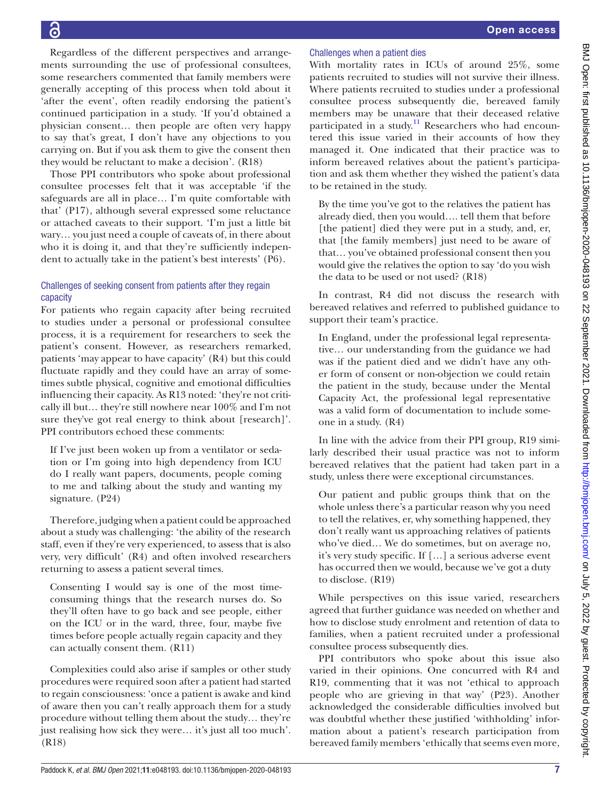Regardless of the different perspectives and arrangements surrounding the use of professional consultees, some researchers commented that family members were generally accepting of this process when told about it 'after the event', often readily endorsing the patient's continued participation in a study. 'If you'd obtained a physician consent… then people are often very happy to say that's great, I don't have any objections to you carrying on. But if you ask them to give the consent then they would be reluctant to make a decision'. (R18)

Those PPI contributors who spoke about professional consultee processes felt that it was acceptable 'if the safeguards are all in place… I'm quite comfortable with that' (P17), although several expressed some reluctance or attached caveats to their support. 'I'm just a little bit wary… you just need a couple of caveats of, in there about who it is doing it, and that they're sufficiently independent to actually take in the patient's best interests' (P6).

# Challenges of seeking consent from patients after they regain capacity

For patients who regain capacity after being recruited to studies under a personal or professional consultee process, it is a requirement for researchers to seek the patient's consent. However, as researchers remarked, patients 'may appear to have capacity' (R4) but this could fluctuate rapidly and they could have an array of sometimes subtle physical, cognitive and emotional difficulties influencing their capacity. As R13 noted: 'they're not critically ill but… they're still nowhere near 100% and I'm not sure they've got real energy to think about [research]'. PPI contributors echoed these comments:

If I've just been woken up from a ventilator or sedation or I'm going into high dependency from ICU do I really want papers, documents, people coming to me and talking about the study and wanting my signature. (P24)

Therefore, judging when a patient could be approached about a study was challenging: 'the ability of the research staff, even if they're very experienced, to assess that is also very, very difficult' (R4) and often involved researchers returning to assess a patient several times.

Consenting I would say is one of the most timeconsuming things that the research nurses do. So they'll often have to go back and see people, either on the ICU or in the ward, three, four, maybe five times before people actually regain capacity and they can actually consent them. (R11)

Complexities could also arise if samples or other study procedures were required soon after a patient had started to regain consciousness: 'once a patient is awake and kind of aware then you can't really approach them for a study procedure without telling them about the study… they're just realising how sick they were… it's just all too much'. (R18)

# Challenges when a patient dies

With mortality rates in ICUs of around 25%, some patients recruited to studies will not survive their illness. Where patients recruited to studies under a professional consultee process subsequently die, bereaved family members may be unaware that their deceased relative participated in a study.<sup>11</sup> Researchers who had encountered this issue varied in their accounts of how they managed it. One indicated that their practice was to inform bereaved relatives about the patient's participation and ask them whether they wished the patient's data to be retained in the study.

By the time you've got to the relatives the patient has already died, then you would…. tell them that before [the patient] died they were put in a study, and, er, that [the family members] just need to be aware of that… you've obtained professional consent then you would give the relatives the option to say 'do you wish the data to be used or not used? (R18)

In contrast, R4 did not discuss the research with bereaved relatives and referred to published guidance to support their team's practice.

In England, under the professional legal representative… our understanding from the guidance we had was if the patient died and we didn't have any other form of consent or non-objection we could retain the patient in the study, because under the Mental Capacity Act, the professional legal representative was a valid form of documentation to include someone in a study. (R4)

In line with the advice from their PPI group, R19 similarly described their usual practice was not to inform bereaved relatives that the patient had taken part in a study, unless there were exceptional circumstances.

Our patient and public groups think that on the whole unless there's a particular reason why you need to tell the relatives, er, why something happened, they don't really want us approaching relatives of patients who've died… We do sometimes, but on average no, it's very study specific. If […] a serious adverse event has occurred then we would, because we've got a duty to disclose. (R19)

While perspectives on this issue varied, researchers agreed that further guidance was needed on whether and how to disclose study enrolment and retention of data to families, when a patient recruited under a professional consultee process subsequently dies.

PPI contributors who spoke about this issue also varied in their opinions. One concurred with R4 and R19, commenting that it was not 'ethical to approach people who are grieving in that way' (P23). Another acknowledged the considerable difficulties involved but was doubtful whether these justified 'withholding' information about a patient's research participation from bereaved family members 'ethically that seems even more,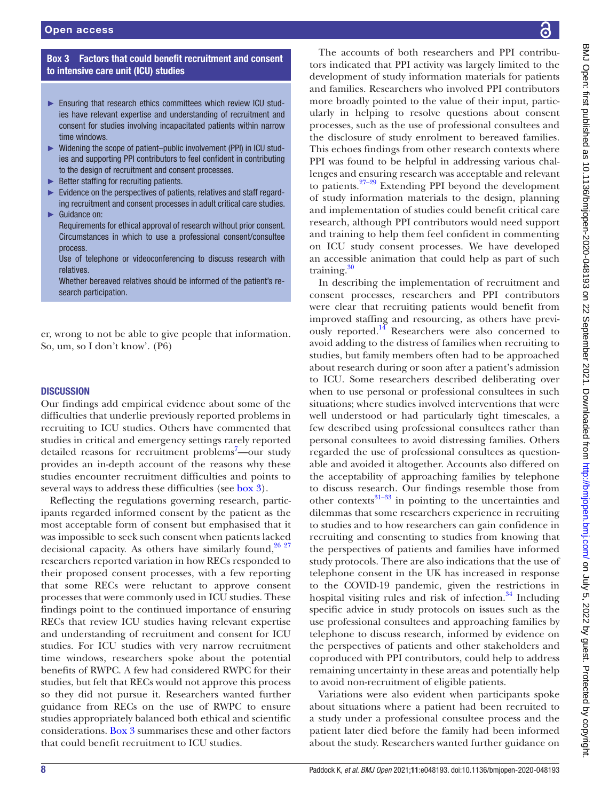## Box 3 Factors that could benefit recruitment and consent to intensive care unit (ICU) studies

- <span id="page-7-0"></span>► Ensuring that research ethics committees which review ICU studies have relevant expertise and understanding of recruitment and consent for studies involving incapacitated patients within narrow time windows.
- ► Widening the scope of patient–public involvement (PPI) in ICU studies and supporting PPI contributors to feel confident in contributing to the design of recruitment and consent processes.
- ► Better staffing for recruiting patients.
- Evidence on the perspectives of patients, relatives and staff regarding recruitment and consent processes in adult critical care studies.
- Guidance on: Requirements for ethical approval of research without prior consent. Circumstances in which to use a professional consent/consultee process.
- Use of telephone or videoconferencing to discuss research with relatives.

Whether bereaved relatives should be informed of the patient's research participation.

er, wrong to not be able to give people that information. So, um, so I don't know'. (P6)

## **DISCUSSION**

Our findings add empirical evidence about some of the difficulties that underlie previously reported problems in recruiting to ICU studies. Others have commented that studies in critical and emergency settings rarely reported detailed reasons for recruitment problems<sup>7</sup>-our study provides an in-depth account of the reasons why these studies encounter recruitment difficulties and points to several ways to address these difficulties (see [box](#page-7-0) 3).

Reflecting the regulations governing research, participants regarded informed consent by the patient as the most acceptable form of consent but emphasised that it was impossible to seek such consent when patients lacked decisional capacity. As others have similarly found, $26\frac{27}{27}$ researchers reported variation in how RECs responded to their proposed consent processes, with a few reporting that some RECs were reluctant to approve consent processes that were commonly used in ICU studies. These findings point to the continued importance of ensuring RECs that review ICU studies having relevant expertise and understanding of recruitment and consent for ICU studies. For ICU studies with very narrow recruitment time windows, researchers spoke about the potential benefits of RWPC. A few had considered RWPC for their studies, but felt that RECs would not approve this process so they did not pursue it. Researchers wanted further guidance from RECs on the use of RWPC to ensure studies appropriately balanced both ethical and scientific considerations. [Box](#page-7-0) 3 summarises these and other factors that could benefit recruitment to ICU studies.

The accounts of both researchers and PPI contributors indicated that PPI activity was largely limited to the development of study information materials for patients and families. Researchers who involved PPI contributors more broadly pointed to the value of their input, particularly in helping to resolve questions about consent processes, such as the use of professional consultees and the disclosure of study enrolment to bereaved families. This echoes findings from other research contexts where PPI was found to be helpful in addressing various challenges and ensuring research was acceptable and relevant to patients. $27-29$  Extending PPI beyond the development of study information materials to the design, planning and implementation of studies could benefit critical care research, although PPI contributors would need support and training to help them feel confident in commenting on ICU study consent processes. We have developed an accessible animation that could help as part of such training.<sup>30</sup>

In describing the implementation of recruitment and consent processes, researchers and PPI contributors were clear that recruiting patients would benefit from improved staffing and resourcing, as others have previously reported.[14](#page-9-9) Researchers were also concerned to avoid adding to the distress of families when recruiting to studies, but family members often had to be approached about research during or soon after a patient's admission to ICU. Some researchers described deliberating over when to use personal or professional consultees in such situations; where studies involved interventions that were well understood or had particularly tight timescales, a few described using professional consultees rather than personal consultees to avoid distressing families. Others regarded the use of professional consultees as questionable and avoided it altogether. Accounts also differed on the acceptability of approaching families by telephone to discuss research. Our findings resemble those from other contexts $31-33$  in pointing to the uncertainties and dilemmas that some researchers experience in recruiting to studies and to how researchers can gain confidence in recruiting and consenting to studies from knowing that the perspectives of patients and families have informed study protocols. There are also indications that the use of telephone consent in the UK has increased in response to the COVID-19 pandemic, given the restrictions in hospital visiting rules and risk of infection. $34$  Including specific advice in study protocols on issues such as the use professional consultees and approaching families by telephone to discuss research, informed by evidence on the perspectives of patients and other stakeholders and coproduced with PPI contributors, could help to address remaining uncertainty in these areas and potentially help to avoid non-recruitment of eligible patients.

Variations were also evident when participants spoke about situations where a patient had been recruited to a study under a professional consultee process and the patient later died before the family had been informed about the study. Researchers wanted further guidance on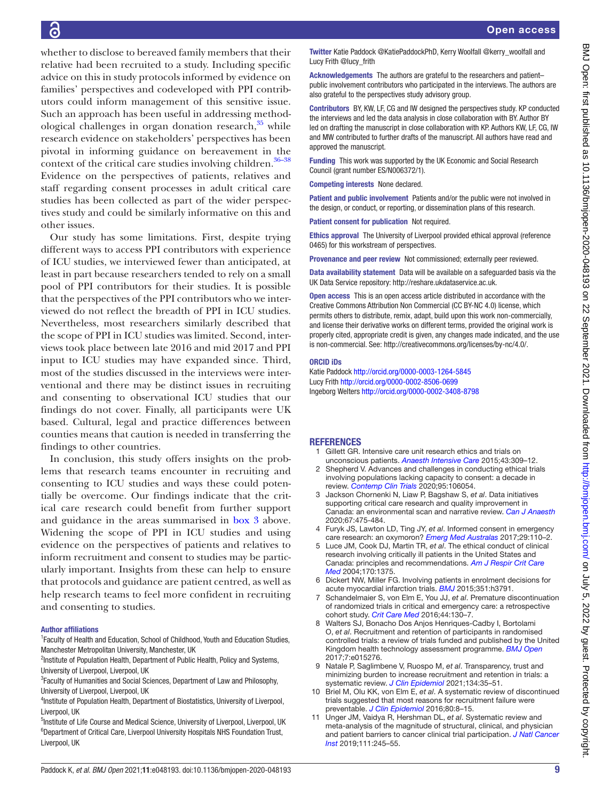BMJ Open: first published as 10.1136/bmjopen-2020-048193 on 22 September 2021. Downloaded from http://bmjopen.bmj.com/ on July 5, 2022 by guest. Protected by copyright BMJ Open: first published as 10.1136/bmjopen-2020-048193 on 22 September 2021. Downloaded from <http://bmjopen.bmj.com/> on July 5, 2022 by guest. Protected by copyright.

whether to disclose to bereaved family members that their relative had been recruited to a study. Including specific advice on this in study protocols informed by evidence on families' perspectives and codeveloped with PPI contributors could inform management of this sensitive issue. Such an approach has been useful in addressing methodological challenges in organ donation research, $35$  while research evidence on stakeholders' perspectives has been pivotal in informing guidance on bereavement in the context of the critical care studies involving children. $36-38$ Evidence on the perspectives of patients, relatives and staff regarding consent processes in adult critical care studies has been collected as part of the wider perspectives study and could be similarly informative on this and other issues.

Our study has some limitations. First, despite trying different ways to access PPI contributors with experience of ICU studies, we interviewed fewer than anticipated, at least in part because researchers tended to rely on a small pool of PPI contributors for their studies. It is possible that the perspectives of the PPI contributors who we interviewed do not reflect the breadth of PPI in ICU studies. Nevertheless, most researchers similarly described that the scope of PPI in ICU studies was limited. Second, interviews took place between late 2016 and mid 2017 and PPI input to ICU studies may have expanded since. Third, most of the studies discussed in the interviews were interventional and there may be distinct issues in recruiting and consenting to observational ICU studies that our findings do not cover. Finally, all participants were UK based. Cultural, legal and practice differences between counties means that caution is needed in transferring the findings to other countries.

In conclusion, this study offers insights on the problems that research teams encounter in recruiting and consenting to ICU studies and ways these could potentially be overcome. Our findings indicate that the critical care research could benefit from further support and guidance in the areas summarised in [box](#page-7-0) 3 above. Widening the scope of PPI in ICU studies and using evidence on the perspectives of patients and relatives to inform recruitment and consent to studies may be particularly important. Insights from these can help to ensure that protocols and guidance are patient centred, as well as help research teams to feel more confident in recruiting and consenting to studies.

## Author affiliations

<sup>1</sup> Faculty of Health and Education, School of Childhood, Youth and Education Studies, Manchester Metropolitan University, Manchester, UK

<sup>2</sup>Institute of Population Health, Department of Public Health, Policy and Systems, University of Liverpool, Liverpool, UK

<sup>3</sup> Faculty of Humanities and Social Sciences, Department of Law and Philosophy, University of Liverpool, Liverpool, UK

<sup>4</sup>Institute of Population Health, Department of Biostatistics, University of Liverpool, Liverpool, UK

<sup>5</sup>Institute of Life Course and Medical Science, University of Liverpool, Liverpool, UK <sup>6</sup>Department of Critical Care, Liverpool University Hospitals NHS Foundation Trust, Liverpool, UK

Acknowledgements The authors are grateful to the researchers and patient– public involvement contributors who participated in the interviews. The authors are also grateful to the perspectives study advisory group.

Contributors BY, KW, LF, CG and IW designed the perspectives study. KP conducted the interviews and led the data analysis in close collaboration with BY. Author BY led on drafting the manuscript in close collaboration with KP. Authors KW, LF, CG, IW and MW contributed to further drafts of the manuscript. All authors have read and approved the manuscript.

Funding This work was supported by the UK Economic and Social Research Council (grant number ES/N006372/1).

Competing interests None declared.

Patient and public involvement Patients and/or the public were not involved in the design, or conduct, or reporting, or dissemination plans of this research.

Patient consent for publication Not required.

Ethics approval The University of Liverpool provided ethical approval (reference 0465) for this workstream of perspectives.

Provenance and peer review Not commissioned; externally peer reviewed.

Data availability statement Data will be available on a safeguarded basis via the UK Data Service repository:<http://reshare.ukdataservice.ac.uk>.

Open access This is an open access article distributed in accordance with the Creative Commons Attribution Non Commercial (CC BY-NC 4.0) license, which permits others to distribute, remix, adapt, build upon this work non-commercially, and license their derivative works on different terms, provided the original work is properly cited, appropriate credit is given, any changes made indicated, and the use is non-commercial. See: [http://creativecommons.org/licenses/by-nc/4.0/.](http://creativecommons.org/licenses/by-nc/4.0/)

#### ORCID iDs

Katie Paddock <http://orcid.org/0000-0003-1264-5845> Lucy Frith <http://orcid.org/0000-0002-8506-0699> Ingeborg Welters <http://orcid.org/0000-0002-3408-8798>

## **REFERENCES**

- <span id="page-8-0"></span>1 Gillett GR. Intensive care unit research ethics and trials on unconscious patients. *[Anaesth Intensive Care](http://dx.doi.org/10.1177/0310057X1504300304)* 2015;43:309–12.
- 2 Shepherd V. Advances and challenges in conducting ethical trials involving populations lacking capacity to consent: a decade in review. *[Contemp Clin Trials](http://dx.doi.org/10.1016/j.cct.2020.106054)* 2020;95:106054.
- <span id="page-8-1"></span>3 Jackson Chornenki N, Liaw P, Bagshaw S, *et al*. Data initiatives supporting critical care research and quality improvement in Canada: an environmental scan and narrative review. *[Can J Anaesth](http://dx.doi.org/10.1007/s12630-020-01571-1)* 2020;67:475-484.
- 4 Furyk JS, Lawton LD, Ting JY, *et al*. Informed consent in emergency care research: an oxymoron? *[Emerg Med Australas](http://dx.doi.org/10.1111/1742-6723.12642)* 2017;29:110–2.
- 5 Luce JM, Cook DJ, Martin TR, *et al*. The ethical conduct of clinical research involving critically ill patients in the United States and Canada: principles and recommendations. *[Am J Respir Crit Care](http://dx.doi.org/10.1164/rccm.200406-726ST)  [Med](http://dx.doi.org/10.1164/rccm.200406-726ST)* 2004;170:1375.
- <span id="page-8-2"></span>6 Dickert NW, Miller FG. Involving patients in enrolment decisions for acute myocardial infarction trials. *[BMJ](http://dx.doi.org/10.1136/bmj.h3791)* 2015;351:h3791.
- <span id="page-8-3"></span>7 Schandelmaier S, von Elm E, You JJ, *et al*. Premature discontinuation of randomized trials in critical and emergency care: a retrospective cohort study. *[Crit Care Med](http://dx.doi.org/10.1097/CCM.0000000000001369)* 2016;44:130–7.
- <span id="page-8-4"></span>Walters SJ, Bonacho Dos Anjos Henriques-Cadby I, Bortolami O, *et al*. Recruitment and retention of participants in randomised controlled trials: a review of trials funded and published by the United Kingdom health technology assessment programme. *[BMJ Open](http://dx.doi.org/10.1136/bmjopen-2016-015276)* 2017;7:e015276.
- <span id="page-8-5"></span>9 Natale P, Saglimbene V, Ruospo M, *et al*. Transparency, trust and minimizing burden to increase recruitment and retention in trials: a systematic review. *[J Clin Epidemiol](http://dx.doi.org/10.1016/j.jclinepi.2021.01.014)* 2021;134:35–51.
- 10 Briel M, Olu KK, von Elm E, *et al*. A systematic review of discontinued trials suggested that most reasons for recruitment failure were preventable. *[J Clin Epidemiol](http://dx.doi.org/10.1016/j.jclinepi.2016.07.016)* 2016;80:8–15.
- <span id="page-8-6"></span>11 Unger JM, Vaidya R, Hershman DL, *et al*. Systematic review and meta-analysis of the magnitude of structural, clinical, and physician and patient barriers to cancer clinical trial participation. *[J Natl Cancer](http://dx.doi.org/10.1093/jnci/djy221)  [Inst](http://dx.doi.org/10.1093/jnci/djy221)* 2019;111:245–55.